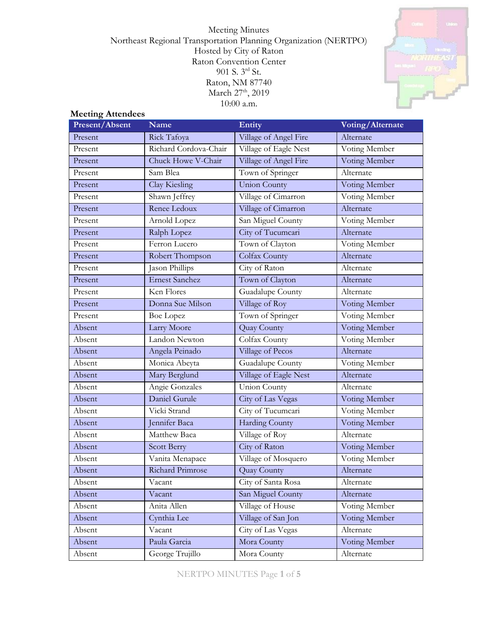Meeting Minutes Northeast Regional Transportation Planning Organization (NERTPO) Hosted by City of Raton Raton Convention Center 901 S. 3rd St. Raton, NM 87740 March 27<sup>th</sup>, 2019 10:00 a.m.



## **Meeting Attendees**

| Present/Absent | Name                  | Entity                | Voting/Alternate |
|----------------|-----------------------|-----------------------|------------------|
| Present        | Rick Tafoya           | Village of Angel Fire | Alternate        |
| Present        | Richard Cordova-Chair | Village of Eagle Nest | Voting Member    |
| Present        | Chuck Howe V-Chair    | Village of Angel Fire | Voting Member    |
| Present        | Sam Blea              | Town of Springer      | Alternate        |
| Present        | Clay Kiesling         | <b>Union County</b>   | Voting Member    |
| Present        | Shawn Jeffrey         | Village of Cimarron   | Voting Member    |
| Present        | Renee Ledoux          | Village of Cimarron   | Alternate        |
| Present        | Arnold Lopez          | San Miguel County     | Voting Member    |
| Present        | Ralph Lopez           | City of Tucumcari     | Alternate        |
| Present        | Ferron Lucero         | Town of Clayton       | Voting Member    |
| Present        | Robert Thompson       | Colfax County         | Alternate        |
| Present        | Jason Phillips        | City of Raton         | Alternate        |
| Present        | Ernest Sanchez        | Town of Clayton       | Alternate        |
| Present        | Ken Flores            | Guadalupe County      | Alternate        |
| Present        | Donna Sue Milson      | Village of Roy        | Voting Member    |
| Present        | <b>Boe Lopez</b>      | Town of Springer      | Voting Member    |
| Absent         | Larry Moore           | Quay County           | Voting Member    |
| Absent         | Landon Newton         | Colfax County         | Voting Member    |
| Absent         | Angela Peinado        | Village of Pecos      | Alternate        |
| Absent         | Monica Abeyta         | Guadalupe County      | Voting Member    |
| Absent         | Mary Berglund         | Village of Eagle Nest | Alternate        |
| Absent         | Angie Gonzales        | <b>Union County</b>   | Alternate        |
| Absent         | Daniel Gurule         | City of Las Vegas     | Voting Member    |
| Absent         | Vicki Strand          | City of Tucumcari     | Voting Member    |
| Absent         | Jennifer Baca         | Harding County        | Voting Member    |
| Absent         | Matthew Baca          | Village of Roy        | Alternate        |
| Absent         | Scott Berry           | City of Raton         | Voting Member    |
| Absent         | Vanita Menapace       | Village of Mosquero   | Voting Member    |
| Absent         | Richard Primrose      | <b>Quay County</b>    | Alternate        |
| Absent         | Vacant                | City of Santa Rosa    | Alternate        |
| Absent         | Vacant                | San Miguel County     | Alternate        |
| Absent         | Anita Allen           | Village of House      | Voting Member    |
| Absent         | Cynthia Lee           | Village of San Jon    | Voting Member    |
| Absent         | Vacant                | City of Las Vegas     | Alternate        |
| Absent         | Paula Garcia          | Mora County           | Voting Member    |
| Absent         | George Trujillo       | Mora County           | Alternate        |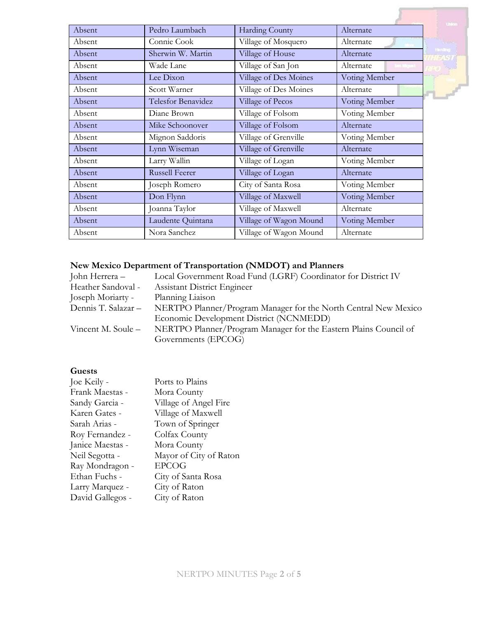|        |                       |                        |               | Uniter  |
|--------|-----------------------|------------------------|---------------|---------|
| Absent | Pedro Laumbach        | <b>Harding County</b>  | Alternate     |         |
| Absent | Connie Cook           | Village of Mosquero    | Alternate     |         |
| Absent | Sherwin W. Martin     | Village of House       | Alternate     | Hondrig |
| Absent | Wade Lane             | Village of San Jon     | Alternate     |         |
| Absent | Lee Dixon             | Village of Des Moines  | Voting Member |         |
| Absent | Scott Warner          | Village of Des Moines  | Alternate     |         |
| Absent | Telesfor Benavidez    | Village of Pecos       | Voting Member |         |
| Absent | Diane Brown           | Village of Folsom      | Voting Member |         |
| Absent | Mike Schoonover       | Village of Folsom      | Alternate     |         |
| Absent | Mignon Saddoris       | Village of Grenville   | Voting Member |         |
| Absent | Lynn Wiseman          | Village of Grenville   | Alternate     |         |
| Absent | Larry Wallin          | Village of Logan       | Voting Member |         |
| Absent | <b>Russell Feerer</b> | Village of Logan       | Alternate     |         |
| Absent | Joseph Romero         | City of Santa Rosa     | Voting Member |         |
| Absent | Don Flynn             | Village of Maxwell     | Voting Member |         |
| Absent | Joanna Taylor         | Village of Maxwell     | Alternate     |         |
| Absent | Laudente Quintana     | Village of Wagon Mound | Voting Member |         |
| Absent | Nora Sanchez          | Village of Wagon Mound | Alternate     |         |

# **New Mexico Department of Transportation (NMDOT) and Planners**

| John Herrera –      | Local Government Road Fund (LGRF) Coordinator for District IV    |
|---------------------|------------------------------------------------------------------|
| Heather Sandoval -  | <b>Assistant District Engineer</b>                               |
| Joseph Moriarty -   | Planning Liaison                                                 |
| Dennis T. Salazar – | NERTPO Planner/Program Manager for the North Central New Mexico  |
|                     | Economic Development District (NCNMEDD)                          |
| Vincent M. Soule –  | NERTPO Planner/Program Manager for the Eastern Plains Council of |
|                     | Governments (EPCOG)                                              |
|                     |                                                                  |

# **Guests**

| Joe Keily -      | Ports to Plains        |
|------------------|------------------------|
| Frank Maestas -  | Mora County            |
| Sandy Garcia -   | Village of Angel Fire  |
| Karen Gates -    | Village of Maxwell     |
| Sarah Arias -    | Town of Springer       |
| Roy Fernandez -  | Colfax County          |
| Janice Maestas - | Mora County            |
| Neil Segotta -   | Mayor of City of Raton |
| Ray Mondragon -  | <b>EPCOG</b>           |
| Ethan Fuchs -    | City of Santa Rosa     |
| Larry Marquez -  | City of Raton          |
| David Gallegos - | City of Raton          |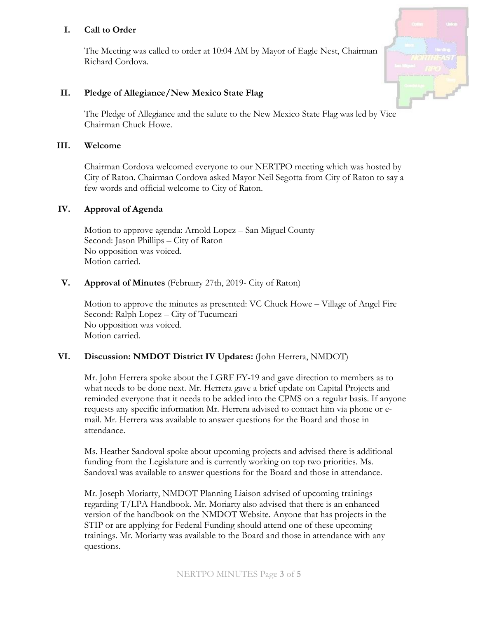### **I. Call to Order**

The Meeting was called to order at 10:04 AM by Mayor of Eagle Nest, Chairman Richard Cordova.



### **II. Pledge of Allegiance/New Mexico State Flag**

The Pledge of Allegiance and the salute to the New Mexico State Flag was led by Vice Chairman Chuck Howe.

#### **III. Welcome**

Chairman Cordova welcomed everyone to our NERTPO meeting which was hosted by City of Raton. Chairman Cordova asked Mayor Neil Segotta from City of Raton to say a few words and official welcome to City of Raton.

#### **IV. Approval of Agenda**

Motion to approve agenda: Arnold Lopez – San Miguel County Second: Jason Phillips – City of Raton No opposition was voiced. Motion carried.

### **V. Approval of Minutes** (February 27th, 2019- City of Raton)

Motion to approve the minutes as presented: VC Chuck Howe – Village of Angel Fire Second: Ralph Lopez – City of Tucumcari No opposition was voiced. Motion carried.

#### **VI. Discussion: NMDOT District IV Updates:** (John Herrera, NMDOT)

Mr. John Herrera spoke about the LGRF FY-19 and gave direction to members as to what needs to be done next. Mr. Herrera gave a brief update on Capital Projects and reminded everyone that it needs to be added into the CPMS on a regular basis. If anyone requests any specific information Mr. Herrera advised to contact him via phone or email. Mr. Herrera was available to answer questions for the Board and those in attendance.

Ms. Heather Sandoval spoke about upcoming projects and advised there is additional funding from the Legislature and is currently working on top two priorities. Ms. Sandoval was available to answer questions for the Board and those in attendance.

Mr. Joseph Moriarty, NMDOT Planning Liaison advised of upcoming trainings regarding T/LPA Handbook. Mr. Moriarty also advised that there is an enhanced version of the handbook on the NMDOT Website. Anyone that has projects in the STIP or are applying for Federal Funding should attend one of these upcoming trainings. Mr. Moriarty was available to the Board and those in attendance with any questions.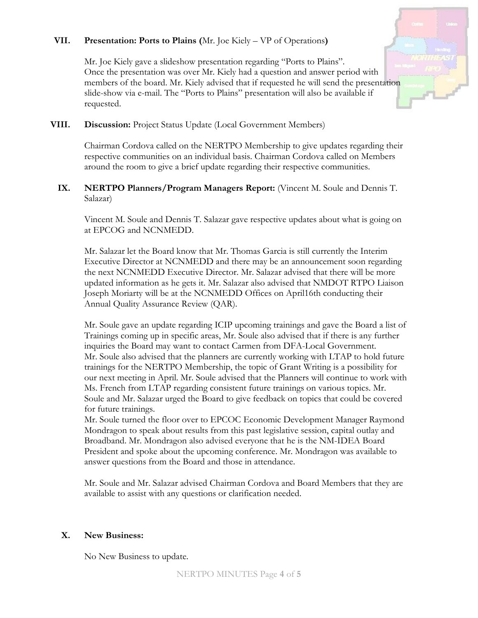### **VII. Presentation: Ports to Plains (**Mr. Joe Kiely – VP of Operations**)**

Mr. Joe Kiely gave a slideshow presentation regarding "Ports to Plains". Once the presentation was over Mr. Kiely had a question and answer period with members of the board. Mr. Kiely advised that if requested he will send the presentation slide-show via e-mail. The "Ports to Plains" presentation will also be available if requested.

#### **VIII. Discussion:** Project Status Update (Local Government Members)

Chairman Cordova called on the NERTPO Membership to give updates regarding their respective communities on an individual basis. Chairman Cordova called on Members around the room to give a brief update regarding their respective communities.

#### **IX. NERTPO Planners/Program Managers Report:** (Vincent M. Soule and Dennis T. Salazar)

Vincent M. Soule and Dennis T. Salazar gave respective updates about what is going on at EPCOG and NCNMEDD.

Mr. Salazar let the Board know that Mr. Thomas Garcia is still currently the Interim Executive Director at NCNMEDD and there may be an announcement soon regarding the next NCNMEDD Executive Director. Mr. Salazar advised that there will be more updated information as he gets it. Mr. Salazar also advised that NMDOT RTPO Liaison Joseph Moriarty will be at the NCNMEDD Offices on April16th conducting their Annual Quality Assurance Review (QAR).

Mr. Soule gave an update regarding ICIP upcoming trainings and gave the Board a list of Trainings coming up in specific areas, Mr. Soule also advised that if there is any further inquiries the Board may want to contact Carmen from DFA-Local Government. Mr. Soule also advised that the planners are currently working with LTAP to hold future trainings for the NERTPO Membership, the topic of Grant Writing is a possibility for our next meeting in April. Mr. Soule advised that the Planners will continue to work with Ms. French from LTAP regarding consistent future trainings on various topics. Mr. Soule and Mr. Salazar urged the Board to give feedback on topics that could be covered for future trainings.

Mr. Soule turned the floor over to EPCOC Economic Development Manager Raymond Mondragon to speak about results from this past legislative session, capital outlay and Broadband. Mr. Mondragon also advised everyone that he is the NM-IDEA Board President and spoke about the upcoming conference. Mr. Mondragon was available to answer questions from the Board and those in attendance.

Mr. Soule and Mr. Salazar advised Chairman Cordova and Board Members that they are available to assist with any questions or clarification needed.

#### **X. New Business:**

No New Business to update.